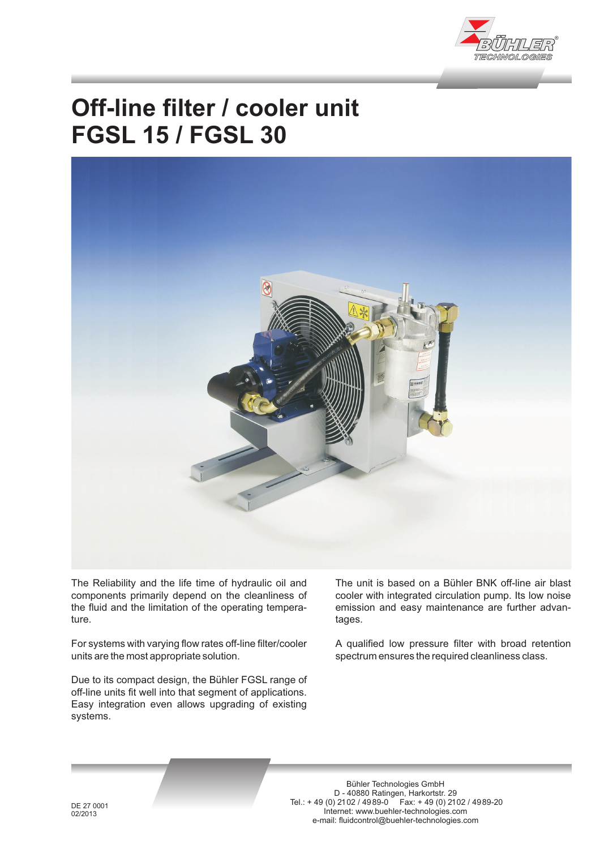

## **Off-line filter / cooler unit FGSL 15 / FGSL 30**



The Reliability and the life time of hydraulic oil and components primarily depend on the cleanliness of the fluid and the limitation of the operating temperature.

For systems with varying flow rates off-line filter/cooler units are the most appropriate solution.

Due to its compact design, the Bühler FGSL range of off-line units fit well into that segment of applications. Easy integration even allows upgrading of existing systems.

The unit is based on a Bühler BNK off-line air blast cooler with integrated circulation pump. Its low noise emission and easy maintenance are further advantages.

A qualified low pressure filter with broad retention spectrum ensures the required cleanliness class.